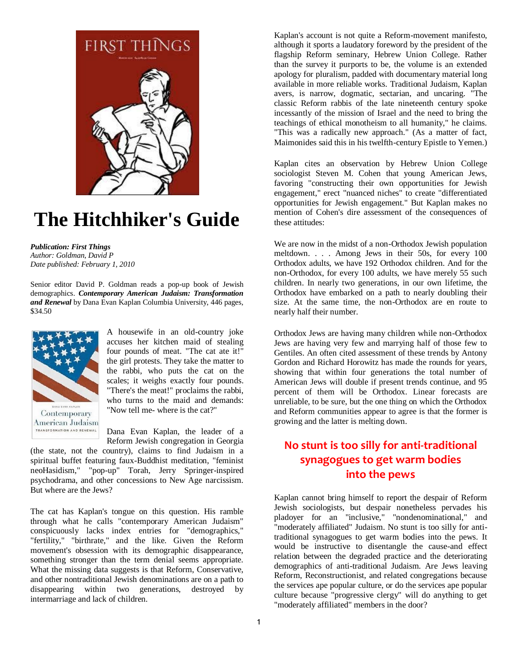

# **The Hitchhiker's Guide**

*Publication: First Things Author: Goldman, David P Date published: February 1, 2010*

Senior editor David P. Goldman reads a pop-up book of Jewish demographics. *Contemporary American Judaism: Transformation and Renewal* by Dana Evan Kaplan Columbia University, 446 pages, \$34.50



A housewife in an old-country joke accuses her kitchen maid of stealing four pounds of meat. "The cat ate it!" the girl protests. They take the matter to the rabbi, who puts the cat on the scales; it weighs exactly four pounds. "There's the meat!" proclaims the rabbi, who turns to the maid and demands: "Now tell me- where is the cat?"

Dana Evan Kaplan, the leader of a Reform Jewish congregation in Georgia

(the state, not the country), claims to find Judaism in a spiritual buffet featuring faux-Buddhist meditation, "feminist neoHasidism," "pop-up" Torah, Jerry Springer-inspired psychodrama, and other concessions to New Age narcissism. But where are the Jews?

The cat has Kaplan's tongue on this question. His ramble through what he calls "contemporary American Judaism" conspicuously lacks index entries for "demographics," "fertility," "birthrate," and the like. Given the Reform movement's obsession with its demographic disappearance, something stronger than the term denial seems appropriate. What the missing data suggests is that Reform, Conservative, and other nontraditional Jewish denominations are on a path to disappearing within two generations, destroyed by intermarriage and lack of children.

Kaplan's account is not quite a Reform-movement manifesto, although it sports a laudatory foreword by the president of the flagship Reform seminary, Hebrew Union College. Rather than the survey it purports to be, the volume is an extended apology for pluralism, padded with documentary material long available in more reliable works. Traditional Judaism, Kaplan avers, is narrow, dogmatic, sectarian, and uncaring. "The classic Reform rabbis of the late nineteenth century spoke incessantly of the mission of Israel and the need to bring the teachings of ethical monotheism to all humanity," he claims. "This was a radically new approach." (As a matter of fact, Maimonides said this in his twelfth-century Epistle to Yemen.)

Kaplan cites an observation by Hebrew Union College sociologist Steven M. Cohen that young American Jews, favoring "constructing their own opportunities for Jewish engagement," erect "nuanced niches" to create "differentiated opportunities for Jewish engagement." But Kaplan makes no mention of Cohen's dire assessment of the consequences of these attitudes:

We are now in the midst of a non-Orthodox Jewish population meltdown. . . . Among Jews in their 50s, for every 100 Orthodox adults, we have 192 Orthodox children. And for the non-Orthodox, for every 100 adults, we have merely 55 such children. In nearly two generations, in our own lifetime, the Orthodox have embarked on a path to nearly doubling their size. At the same time, the non-Orthodox are en route to nearly half their number.

Orthodox Jews are having many children while non-Orthodox Jews are having very few and marrying half of those few to Gentiles. An often cited assessment of these trends by Antony Gordon and Richard Horowitz has made the rounds for years, showing that within four generations the total number of American Jews will double if present trends continue, and 95 percent of them will be Orthodox. Linear forecasts are unreliable, to be sure, but the one thing on which the Orthodox and Reform communities appear to agree is that the former is growing and the latter is melting down.

### **No stunt is too silly for anti-traditional synagogues to get warm bodies into the pews**

Kaplan cannot bring himself to report the despair of Reform Jewish sociologists, but despair nonetheless pervades his pladoyer for an "inclusive," "nondenominational," and "moderately affiliated" Judaism. No stunt is too silly for antitraditional synagogues to get warm bodies into the pews. It would be instructive to disentangle the cause-and effect relation between the degraded practice and the deteriorating demographics of anti-traditional Judaism. Are Jews leaving Reform, Reconstructionist, and related congregations because the services ape popular culture, or do the services ape popular culture because "progressive clergy" will do anything to get "moderately affiliated" members in the door?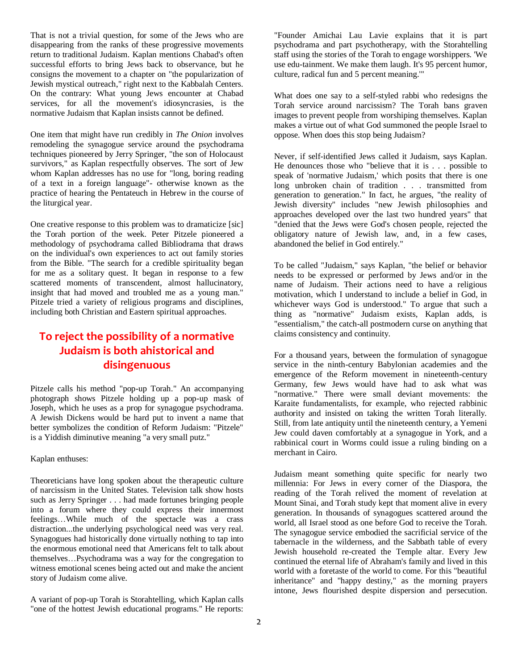That is not a trivial question, for some of the Jews who are disappearing from the ranks of these progressive movements return to traditional Judaism. Kaplan mentions Chabad's often successful efforts to bring Jews back to observance, but he consigns the movement to a chapter on "the popularization of Jewish mystical outreach," right next to the Kabbalah Centers. On the contrary: What young Jews encounter at Chabad services, for all the movement's idiosyncrasies, is the normative Judaism that Kaplan insists cannot be defined.

One item that might have run credibly in *The Onion* involves remodeling the synagogue service around the psychodrama techniques pioneered by Jerry Springer, "the son of Holocaust survivors," as Kaplan respectfully observes. The sort of Jew whom Kaplan addresses has no use for "long, boring reading of a text in a foreign language"- otherwise known as the practice of hearing the Pentateuch in Hebrew in the course of the liturgical year.

One creative response to this problem was to dramaticize [sic] the Torah portion of the week. Peter Pitzele pioneered a methodology of psychodrama called Bibliodrama that draws on the individual's own experiences to act out family stories from the Bible. "The search for a credible spirituality began for me as a solitary quest. It began in response to a few scattered moments of transcendent, almost hallucinatory, insight that had moved and troubled me as a young man." Pitzele tried a variety of religious programs and disciplines, including both Christian and Eastern spiritual approaches.

### **To reject the possibility of a normative Judaism is both ahistorical and disingenuous**

Pitzele calls his method "pop-up Torah." An accompanying photograph shows Pitzele holding up a pop-up mask of Joseph, which he uses as a prop for synagogue psychodrama. A Jewish Dickens would be hard put to invent a name that better symbolizes the condition of Reform Judaism: "Pitzele" is a Yiddish diminutive meaning "a very small putz."

#### Kaplan enthuses:

Theoreticians have long spoken about the therapeutic culture of narcissism in the United States. Television talk show hosts such as Jerry Springer . . . had made fortunes bringing people into a forum where they could express their innermost feelings…While much of the spectacle was a crass distraction...the underlying psychological need was very real. Synagogues had historically done virtually nothing to tap into the enormous emotional need that Americans felt to talk about themselves…Psychodrama was a way for the congregation to witness emotional scenes being acted out and make the ancient story of Judaism come alive.

A variant of pop-up Torah is Storahtelling, which Kaplan calls "one of the hottest Jewish educational programs." He reports: "Founder Amichai Lau Lavie explains that it is part psychodrama and part psychotherapy, with the Storahtelling staff using the stories of the Torah to engage worshippers. 'We use edu-tainment. We make them laugh. It's 95 percent humor, culture, radical fun and 5 percent meaning.'"

What does one say to a self-styled rabbi who redesigns the Torah service around narcissism? The Torah bans graven images to prevent people from worshiping themselves. Kaplan makes a virtue out of what God summoned the people Israel to oppose. When does this stop being Judaism?

Never, if self-identified Jews called it Judaism, says Kaplan. He denounces those who "believe that it is . . . possible to speak of 'normative Judaism,' which posits that there is one long unbroken chain of tradition . . . transmitted from generation to generation." In fact, he argues, "the reality of Jewish diversity" includes "new Jewish philosophies and approaches developed over the last two hundred years" that "denied that the Jews were God's chosen people, rejected the obligatory nature of Jewish law, and, in a few cases, abandoned the belief in God entirely."

To be called "Judaism," says Kaplan, "the belief or behavior needs to be expressed or performed by Jews and/or in the name of Judaism. Their actions need to have a religious motivation, which I understand to include a belief in God, in whichever ways God is understood." To argue that such a thing as "normative" Judaism exists, Kaplan adds, is "essentialism," the catch-all postmodern curse on anything that claims consistency and continuity.

For a thousand years, between the formulation of synagogue service in the ninth-century Babylonian academies and the emergence of the Reform movement in nineteenth-century Germany, few Jews would have had to ask what was "normative." There were small deviant movements: the Karaite fundamentalists, for example, who rejected rabbinic authority and insisted on taking the written Torah literally. Still, from late antiquity until the nineteenth century, a Yemeni Jew could daven comfortably at a synagogue in York, and a rabbinical court in Worms could issue a ruling binding on a merchant in Cairo.

Judaism meant something quite specific for nearly two millennia: For Jews in every corner of the Diaspora, the reading of the Torah relived the moment of revelation at Mount Sinai, and Torah study kept that moment alive in every generation. In thousands of synagogues scattered around the world, all Israel stood as one before God to receive the Torah. The synagogue service embodied the sacrificial service of the tabernacle in the wilderness, and the Sabbath table of every Jewish household re-created the Temple altar. Every Jew continued the eternal life of Abraham's family and lived in this world with a foretaste of the world to come. For this "beautiful inheritance" and "happy destiny," as the morning prayers intone, Jews flourished despite dispersion and persecution.